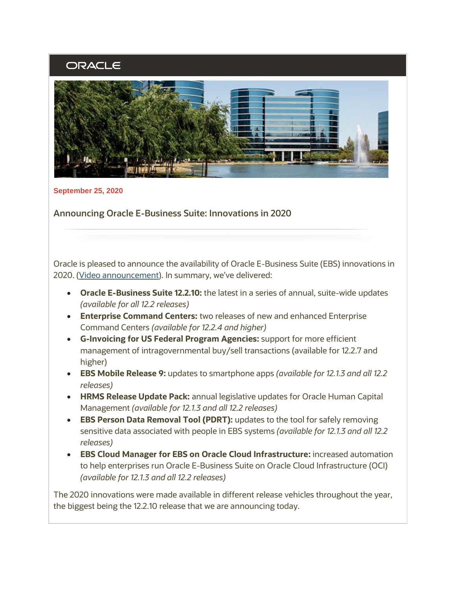# ORACLE



**September 25, 2020**

**Announcing Oracle E-Business Suite: Innovations in 2020**

Oracle is pleased to announce the availability of Oracle E-Business Suite (EBS) innovations in 2020. [\(Video announcement\)](https://learn.oracle.com/ols/course/50662/81174). In summary, we've delivered:

- **Oracle E-Business Suite 12.2.10:** the latest in a series of annual, suite-wide updates *(available for all 12.2 releases)*
- **Enterprise Command Centers:** two releases of new and enhanced Enterprise Command Centers *(available for 12.2.4 and higher)*
- **G-Invoicing for US Federal Program Agencies:** support for more efficient management of intragovernmental buy/sell transactions (available for 12.2.7 and higher)
- **EBS Mobile Release 9:** updates to smartphone apps *(available for 12.1.3 and all 12.2 releases)*
- **HRMS Release Update Pack:** annual legislative updates for Oracle Human Capital Management *(available for 12.1.3 and all 12.2 releases)*
- **EBS Person Data Removal Tool (PDRT):** updates to the tool for safely removing sensitive data associated with people in EBS systems *(available for 12.1.3 and all 12.2 releases)*
- **EBS Cloud Manager for EBS on Oracle Cloud Infrastructure:** increased automation to help enterprises run Oracle E-Business Suite on Oracle Cloud Infrastructure (OCI) *(available for 12.1.3 and all 12.2 releases)*

The 2020 innovations were made available in different release vehicles throughout the year, the biggest being the 12.2.10 release that we are announcing today.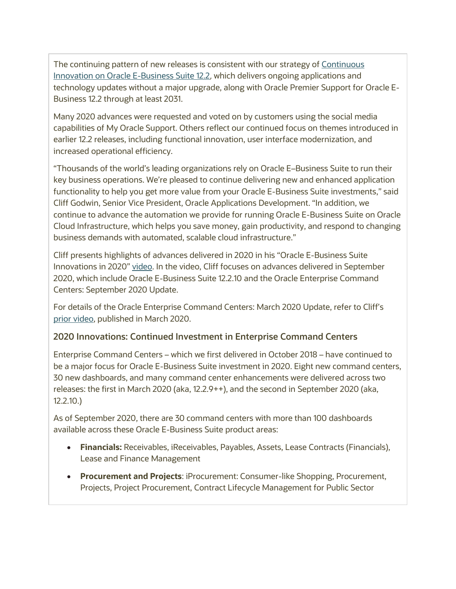The continuing pattern of new releases is consistent with our strategy of Continuous [Innovation on Oracle E-Business Suite 12.2](http://www.oracle.com/us/products/applications/ebs-suite-12-2-announcement-5172019.pdf), which delivers ongoing applications and technology updates without a major upgrade, along with Oracle Premier Support for Oracle E-Business 12.2 through at least 2031.

Many 2020 advances were requested and voted on by customers using the social media capabilities of My Oracle Support. Others reflect our continued focus on themes introduced in earlier 12.2 releases, including functional innovation, user interface modernization, and increased operational efficiency.

"Thousands of the world's leading organizations rely on Oracle E–Business Suite to run their key business operations. We're pleased to continue delivering new and enhanced application functionality to help you get more value from your Oracle E-Business Suite investments," said Cliff Godwin, Senior Vice President, Oracle Applications Development. "In addition, we continue to advance the automation we provide for running Oracle E-Business Suite on Oracle Cloud Infrastructure, which helps you save money, gain productivity, and respond to changing business demands with automated, scalable cloud infrastructure."

Cliff presents highlights of advances delivered in 2020 in his "Oracle E-Business Suite Innovations in 2020" [video.](https://learn.oracle.com/ols/course/50662/81174) In the video, Cliff focuses on advances delivered in September 2020, which include Oracle E-Business Suite 12.2.10 and the Oracle Enterprise Command Centers: September 2020 Update.

For details of the Oracle Enterprise Command Centers: March 2020 Update, refer to Cliff's [prior video,](https://learn.oracle.com/ols/course/50662/75885) published in March 2020.

# **2020 Innovations: Continued Investment in Enterprise Command Centers**

Enterprise Command Centers – which we first delivered in October 2018 – have continued to be a major focus for Oracle E-Business Suite investment in 2020. Eight new command centers, 30 new dashboards, and many command center enhancements were delivered across two releases: the first in March 2020 (aka, 12.2.9++), and the second in September 2020 (aka, 12.2.10.)

As of September 2020, there are 30 command centers with more than 100 dashboards available across these Oracle E-Business Suite product areas:

- **Financials:** Receivables, iReceivables, Payables, Assets, Lease Contracts (Financials), Lease and Finance Management
- **Procurement and Projects**: iProcurement: Consumer-like Shopping, Procurement, Projects, Project Procurement, Contract Lifecycle Management for Public Sector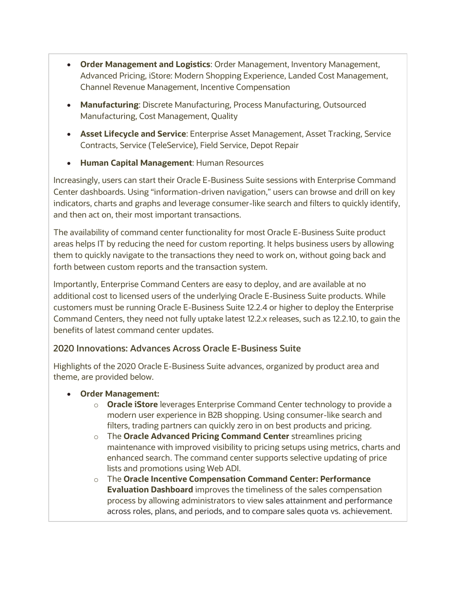- **Order Management and Logistics**: Order Management, Inventory Management, Advanced Pricing, iStore: Modern Shopping Experience, Landed Cost Management, Channel Revenue Management, Incentive Compensation
- **Manufacturing**: Discrete Manufacturing, Process Manufacturing, Outsourced Manufacturing, Cost Management, Quality
- **Asset Lifecycle and Service**: Enterprise Asset Management, Asset Tracking, Service Contracts, Service (TeleService), Field Service, Depot Repair
- **Human Capital Management**: Human Resources

Increasingly, users can start their Oracle E-Business Suite sessions with Enterprise Command Center dashboards. Using "information-driven navigation," users can browse and drill on key indicators, charts and graphs and leverage consumer-like search and filters to quickly identify, and then act on, their most important transactions.

The availability of command center functionality for most Oracle E-Business Suite product areas helps IT by reducing the need for custom reporting. It helps business users by allowing them to quickly navigate to the transactions they need to work on, without going back and forth between custom reports and the transaction system.

Importantly, Enterprise Command Centers are easy to deploy, and are available at no additional cost to licensed users of the underlying Oracle E-Business Suite products. While customers must be running Oracle E-Business Suite 12.2.4 or higher to deploy the Enterprise Command Centers, they need not fully uptake latest 12.2.x releases, such as 12.2.10, to gain the benefits of latest command center updates.

# **2020 Innovations: Advances Across Oracle E-Business Suite**

Highlights of the 2020 Oracle E-Business Suite advances, organized by product area and theme, are provided below.

- **Order Management:** 
	- o **Oracle iStore** leverages Enterprise Command Center technology to provide a modern user experience in B2B shopping. Using consumer-like search and filters, trading partners can quickly zero in on best products and pricing.
	- o The **Oracle Advanced Pricing Command Center** streamlines pricing maintenance with improved visibility to pricing setups using metrics, charts and enhanced search. The command center supports selective updating of price lists and promotions using Web ADI.
	- o The **Oracle Incentive Compensation Command Center: Performance Evaluation Dashboard** improves the timeliness of the sales compensation process by allowing administrators to view sales attainment and performance across roles, plans, and periods, and to compare sales quota vs. achievement.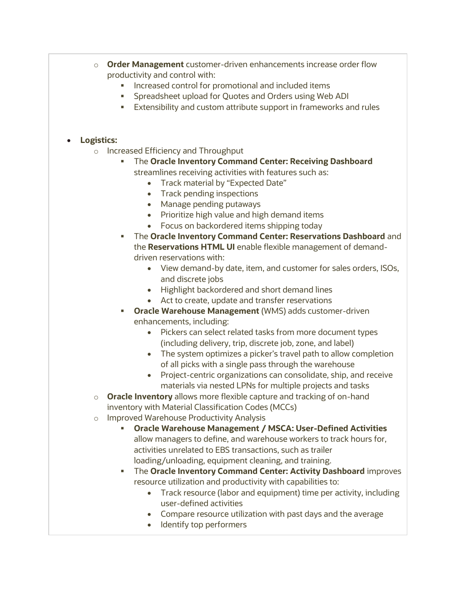- o **Order Management** customer-driven enhancements increase order flow productivity and control with:
	- Increased control for promotional and included items
	- Spreadsheet upload for Quotes and Orders using Web ADI
	- Extensibility and custom attribute support in frameworks and rules

#### • **Logistics:**

- o Increased Efficiency and Throughput
	- The **Oracle Inventory Command Center: Receiving Dashboard** streamlines receiving activities with features such as:
		- Track material by "Expected Date"
		- Track pending inspections
		- Manage pending putaways
		- Prioritize high value and high demand items
		- Focus on backordered items shipping today
	- **The Oracle Inventory Command Center: Reservations Dashboard** and the **Reservations HTML UI** enable flexible management of demanddriven reservations with:
		- View demand-by date, item, and customer for sales orders, ISOs, and discrete jobs
		- Highlight backordered and short demand lines
		- Act to create, update and transfer reservations
	- **Oracle Warehouse Management** (WMS) adds customer-driven enhancements, including:
		- Pickers can select related tasks from more document types (including delivery, trip, discrete job, zone, and label)
		- The system optimizes a picker's travel path to allow completion of all picks with a single pass through the warehouse
		- Project-centric organizations can consolidate, ship, and receive materials via nested LPNs for multiple projects and tasks
- o **Oracle Inventory** allows more flexible capture and tracking of on-hand inventory with Material Classification Codes (MCCs)
- o Improved Warehouse Productivity Analysis
	- **Oracle Warehouse Management / MSCA: User-Defined Activities** allow managers to define, and warehouse workers to track hours for, activities unrelated to EBS transactions, such as trailer loading/unloading, equipment cleaning, and training.
	- **.** The **Oracle Inventory Command Center: Activity Dashboard** improves resource utilization and productivity with capabilities to:
		- Track resource (labor and equipment) time per activity, including user-defined activities
		- Compare resource utilization with past days and the average
		- Identify top performers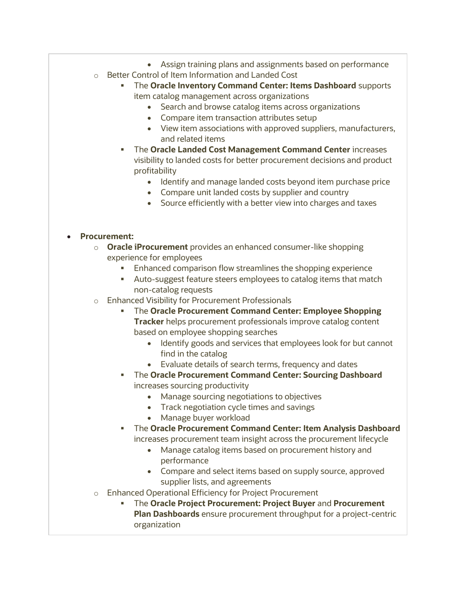- Assign training plans and assignments based on performance
- o Better Control of Item Information and Landed Cost
	- The **Oracle Inventory Command Center: Items Dashboard** supports item catalog management across organizations
		- Search and browse catalog items across organizations
		- Compare item transaction attributes setup
		- View item associations with approved suppliers, manufacturers, and related items
	- **The Oracle Landed Cost Management Command Center increases** visibility to landed costs for better procurement decisions and product profitability
		- Identify and manage landed costs beyond item purchase price
		- Compare unit landed costs by supplier and country
		- Source efficiently with a better view into charges and taxes

#### • **Procurement:**

- o **Oracle iProcurement** provides an enhanced consumer-like shopping experience for employees
	- Enhanced comparison flow streamlines the shopping experience
	- Auto-suggest feature steers employees to catalog items that match non-catalog requests
- o Enhanced Visibility for Procurement Professionals
	- The **Oracle Procurement Command Center: Employee Shopping Tracker** helps procurement professionals improve catalog content based on employee shopping searches
		- Identify goods and services that employees look for but cannot find in the catalog
		- Evaluate details of search terms, frequency and dates
	- **The Oracle Procurement Command Center: Sourcing Dashboard** increases sourcing productivity
		- Manage sourcing negotiations to objectives
		- Track negotiation cycle times and savings
		- Manage buyer workload
	- The **Oracle Procurement Command Center: Item Analysis Dashboard** increases procurement team insight across the procurement lifecycle
		- Manage catalog items based on procurement history and performance
		- Compare and select items based on supply source, approved supplier lists, and agreements
- o Enhanced Operational Efficiency for Project Procurement
	- The **Oracle Project Procurement: Project Buyer** and **Procurement Plan Dashboards** ensure procurement throughput for a project-centric organization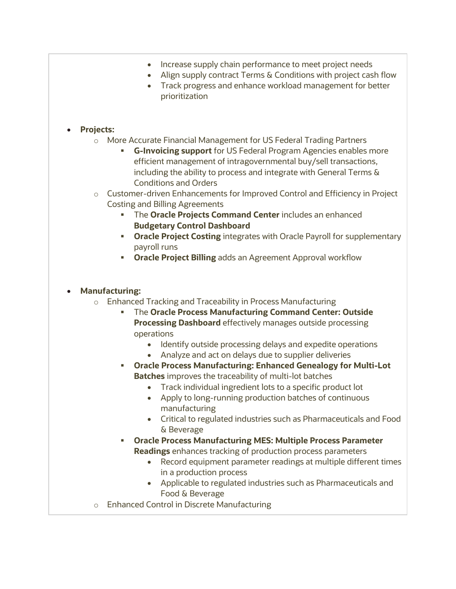- Increase supply chain performance to meet project needs
- Align supply contract Terms & Conditions with project cash flow
- Track progress and enhance workload management for better prioritization

### • **Projects:**

- o More Accurate Financial Management for US Federal Trading Partners
	- **G-Invoicing support** for US Federal Program Agencies enables more efficient management of intragovernmental buy/sell transactions, including the ability to process and integrate with General Terms & Conditions and Orders
- o Customer-driven Enhancements for Improved Control and Efficiency in Project Costing and Billing Agreements
	- The **Oracle Projects Command Center** includes an enhanced **Budgetary Control Dashboard**
	- **Oracle Project Costing** integrates with Oracle Payroll for supplementary payroll runs
	- **Oracle Project Billing** adds an Agreement Approval workflow

### • **Manufacturing:**

- o Enhanced Tracking and Traceability in Process Manufacturing
	- **The Oracle Process Manufacturing Command Center: Outside Processing Dashboard** effectively manages outside processing operations
		- Identify outside processing delays and expedite operations
		- Analyze and act on delays due to supplier deliveries
	- **Oracle Process Manufacturing: Enhanced Genealogy for Multi-Lot Batches** improves the traceability of multi-lot batches
		- Track individual ingredient lots to a specific product lot
		- Apply to long-running production batches of continuous manufacturing
		- Critical to regulated industries such as Pharmaceuticals and Food & Beverage
	- **Oracle Process Manufacturing MES: Multiple Process Parameter Readings** enhances tracking of production process parameters
		- Record equipment parameter readings at multiple different times in a production process
		- Applicable to regulated industries such as Pharmaceuticals and Food & Beverage
- o Enhanced Control in Discrete Manufacturing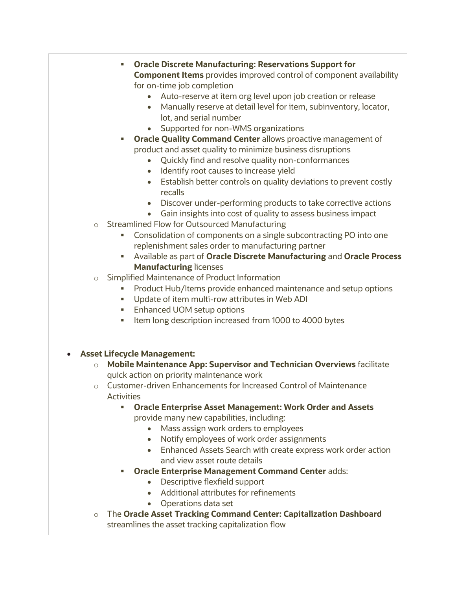- **Oracle Discrete Manufacturing: Reservations Support for Component Items** provides improved control of component availability for on-time job completion
	- Auto-reserve at item org level upon job creation or release
	- Manually reserve at detail level for item, subinventory, locator, lot, and serial number
	- Supported for non-WMS organizations
- **Oracle Quality Command Center** allows proactive management of product and asset quality to minimize business disruptions
	- Quickly find and resolve quality non-conformances
	- Identify root causes to increase yield
	- Establish better controls on quality deviations to prevent costly recalls
	- Discover under-performing products to take corrective actions
	- Gain insights into cost of quality to assess business impact
- o Streamlined Flow for Outsourced Manufacturing
	- Consolidation of components on a single subcontracting PO into one replenishment sales order to manufacturing partner
	- Available as part of **Oracle Discrete Manufacturing** and **Oracle Process Manufacturing** licenses
- o Simplified Maintenance of Product Information
	- Product Hub/Items provide enhanced maintenance and setup options
	- Update of item multi-row attributes in Web ADI
	- Enhanced UOM setup options
	- Item long description increased from 1000 to 4000 bytes
- **Asset Lifecycle Management:**
	- o **Mobile Maintenance App: Supervisor and Technician Overviews** facilitate quick action on priority maintenance work
	- o Customer-driven Enhancements for Increased Control of Maintenance **Activities** 
		- **Oracle Enterprise Asset Management: Work Order and Assets** provide many new capabilities, including:
			- Mass assign work orders to employees
			- Notify employees of work order assignments
			- Enhanced Assets Search with create express work order action and view asset route details
		- **Oracle Enterprise Management Command Center** adds:
			- Descriptive flexfield support
			- Additional attributes for refinements
			- Operations data set
	- o The **Oracle Asset Tracking Command Center: Capitalization Dashboard** streamlines the asset tracking capitalization flow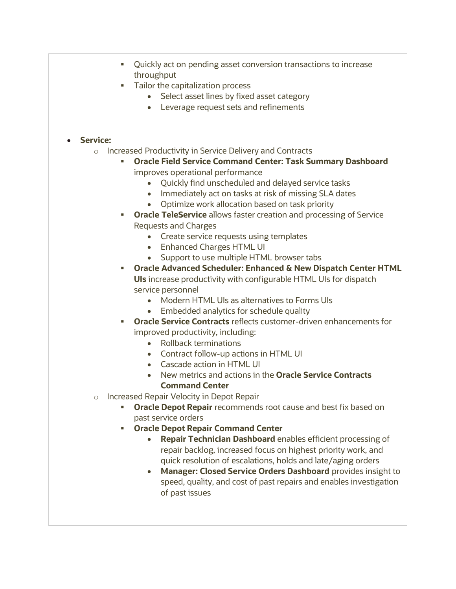- Quickly act on pending asset conversion transactions to increase throughput
- Tailor the capitalization process
	- Select asset lines by fixed asset category
	- Leverage request sets and refinements

#### • **Service:**

- o Increased Productivity in Service Delivery and Contracts
	- **Oracle Field Service Command Center: Task Summary Dashboard** improves operational performance
		- Quickly find unscheduled and delayed service tasks
		- Immediately act on tasks at risk of missing SLA dates
		- Optimize work allocation based on task priority
	- **Oracle TeleService** allows faster creation and processing of Service Requests and Charges
		- Create service requests using templates
		- Enhanced Charges HTML UI
		- Support to use multiple HTML browser tabs
	- **Oracle Advanced Scheduler: Enhanced & New Dispatch Center HTML UIs** increase productivity with configurable HTML UIs for dispatch service personnel
		- Modern HTML UIs as alternatives to Forms UIs
		- Embedded analytics for schedule quality
	- **Oracle Service Contracts** reflects customer-driven enhancements for improved productivity, including:
		- Rollback terminations
		- Contract follow-up actions in HTML UI
		- Cascade action in HTML UI
		- New metrics and actions in the **Oracle Service Contracts Command Center**
- o Increased Repair Velocity in Depot Repair
	- **Oracle Depot Repair** recommends root cause and best fix based on past service orders
	- **Oracle Depot Repair Command Center**
		- **Repair Technician Dashboard** enables efficient processing of repair backlog, increased focus on highest priority work, and quick resolution of escalations, holds and late/aging orders
		- **Manager: Closed Service Orders Dashboard** provides insight to speed, quality, and cost of past repairs and enables investigation of past issues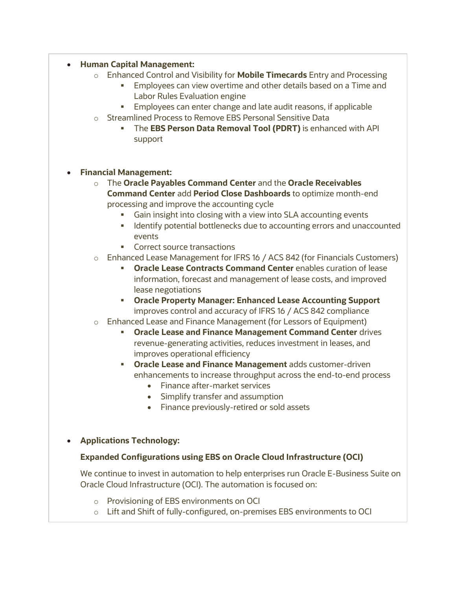#### • **Human Capital Management:**

- o Enhanced Control and Visibility for **Mobile Timecards** Entry and Processing
	- Employees can view overtime and other details based on a Time and Labor Rules Evaluation engine
	- Employees can enter change and late audit reasons, if applicable
- o Streamlined Process to Remove EBS Personal Sensitive Data
	- The **EBS Person Data Removal Tool (PDRT)** is enhanced with API support

#### • **Financial Management:**

- o The **Oracle Payables Command Center** and the **Oracle Receivables Command Center** add **Period Close Dashboards** to optimize month-end processing and improve the accounting cycle
	- Gain insight into closing with a view into SLA accounting events
	- **■** Identify potential bottlenecks due to accounting errors and unaccounted events
	- Correct source transactions
- o Enhanced Lease Management for IFRS 16 / ACS 842 (for Financials Customers)
	- **Oracle Lease Contracts Command Center** enables curation of lease information, forecast and management of lease costs, and improved lease negotiations
	- **Oracle Property Manager: Enhanced Lease Accounting Support** improves control and accuracy of IFRS 16 / ACS 842 compliance
- o Enhanced Lease and Finance Management (for Lessors of Equipment)
	- **Oracle Lease and Finance Management Command Center** drives revenue-generating activities, reduces investment in leases, and improves operational efficiency
	- **Oracle Lease and Finance Management** adds customer-driven enhancements to increase throughput across the end-to-end process
		- Finance after-market services
		- Simplify transfer and assumption
		- Finance previously-retired or sold assets

## • **Applications Technology:**

## **Expanded Configurations using EBS on Oracle Cloud Infrastructure (OCI)**

We continue to invest in automation to help enterprises run Oracle E-Business Suite on Oracle Cloud Infrastructure (OCI). The automation is focused on:

- o Provisioning of EBS environments on OCI
- o Lift and Shift of fully-configured, on-premises EBS environments to OCI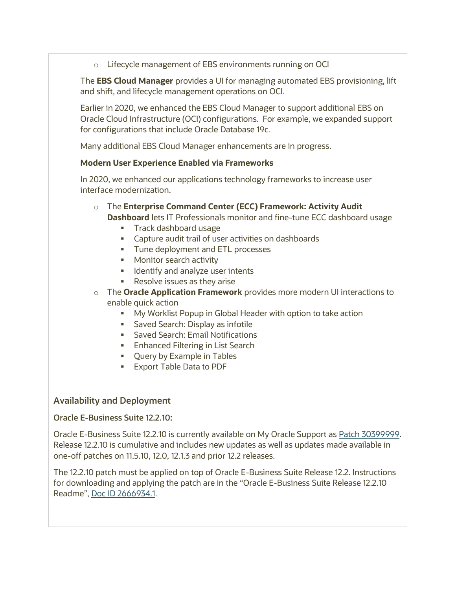o Lifecycle management of EBS environments running on OCI

The **EBS Cloud Manager** provides a UI for managing automated EBS provisioning, lift and shift, and lifecycle management operations on OCI.

Earlier in 2020, we enhanced the EBS Cloud Manager to support additional EBS on Oracle Cloud Infrastructure (OCI) configurations. For example, we expanded support for configurations that include Oracle Database 19c.

Many additional EBS Cloud Manager enhancements are in progress.

## **Modern User Experience Enabled via Frameworks**

In 2020, we enhanced our applications technology frameworks to increase user interface modernization.

- o The **Enterprise Command Center (ECC) Framework: Activity Audit Dashboard** lets IT Professionals monitor and fine-tune ECC dashboard usage
	- Track dashboard usage
	- Capture audit trail of user activities on dashboards
	- **■** Tune deployment and ETL processes
	- Monitor search activity
	- **■** Identify and analyze user intents
	- Resolve issues as they arise
- o The **Oracle Application Framework** provides more modern UI interactions to enable quick action
	- **■** My Worklist Popup in Global Header with option to take action
	- **Example 3** Saved Search: Display as infotile
	- Saved Search: Email Notifications
	- Enhanced Filtering in List Search
	- Query by Example in Tables
	- Export Table Data to PDF

## **Availability and Deployment**

#### **Oracle E-Business Suite 12.2.10:**

Oracle E-Business Suite 12.2.10 is currently available on My Oracle Support as [Patch 30399999.](https://support.oracle.com/rs?type=patch&id=30399999) Release 12.2.10 is cumulative and includes new updates as well as updates made available in one-off patches on 11.5.10, 12.0, 12.1.3 and prior 12.2 releases.

The 12.2.10 patch must be applied on top of Oracle E-Business Suite Release 12.2. Instructions for downloading and applying the patch are in the "Oracle E-Business Suite Release 12.2.10 Readme", Doc ID [2666934.1](https://support.oracle.com/rs?type=doc&id=2666934.1).